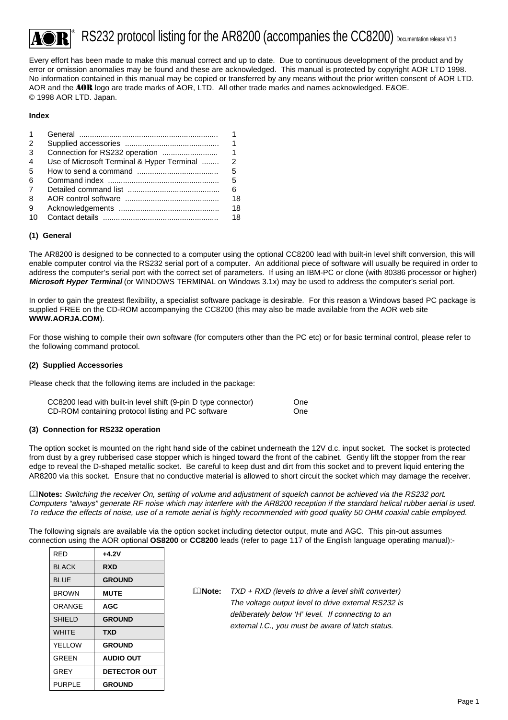# $\degree$  RS232 protocol listing for the AR8200 (accompanies the CC8200) Documentation release V1.3

Every effort has been made to make this manual correct and up to date. Due to continuous development of the product and by error or omission anomalies may be found and these are acknowledged. This manual is protected by copyright AOR LTD 1998. No information contained in this manual may be copied or transferred by any means without the prior written consent of AOR LTD. AOR and the AOR logo are trade marks of AOR, LTD. All other trade marks and names acknowledged. E&OE. © 1998 AOR LTD. Japan.

#### **Index**

| 1              |                                               |    |
|----------------|-----------------------------------------------|----|
| $\mathcal{P}$  |                                               | 1  |
| 3              |                                               | 1  |
| $\overline{4}$ | Use of Microsoft Terminal & Hyper Terminal  2 |    |
| -5             |                                               | 5  |
| 6              |                                               | 5  |
| 7              |                                               | 6. |
| 8              |                                               | 18 |
| 9              |                                               | 18 |
| 10             |                                               | 18 |

#### **(1) General**

The AR8200 is designed to be connected to a computer using the optional CC8200 lead with built-in level shift conversion, this will enable computer control via the RS232 serial port of a computer. An additional piece of software will usually be required in order to address the computer's serial port with the correct set of parameters. If using an IBM-PC or clone (with 80386 processor or higher) **Microsoft Hyper Terminal** (or WINDOWS TERMINAL on Windows 3.1x) may be used to address the computer's serial port.

In order to gain the greatest flexibility, a specialist software package is desirable. For this reason a Windows based PC package is supplied FREE on the CD-ROM accompanying the CC8200 (this may also be made available from the AOR web site **WWW.AORJA.COM**).

For those wishing to compile their own software (for computers other than the PC etc) or for basic terminal control, please refer to the following command protocol.

#### **(2) Supplied Accessories**

Please check that the following items are included in the package:

| CC8200 lead with built-in level shift (9-pin D type connector) | One |
|----------------------------------------------------------------|-----|
| CD-ROM containing protocol listing and PC software             | One |

#### **(3) Connection for RS232 operation**

The option socket is mounted on the right hand side of the cabinet underneath the 12V d.c. input socket. The socket is protected from dust by a grey rubberised case stopper which is hinged toward the front of the cabinet. Gently lift the stopper from the rear edge to reveal the D-shaped metallic socket. Be careful to keep dust and dirt from this socket and to prevent liquid entering the AR8200 via this socket. Ensure that no conductive material is allowed to short circuit the socket which may damage the receiver.

&**Notes:** Switching the receiver On, setting of volume and adjustment of squelch cannot be achieved via the RS232 port. Computers "always" generate RF noise which may interfere with the AR8200 reception if the standard helical rubber aerial is used. To reduce the effects of noise, use of a remote aerial is highly recommended with good quality 50 OHM coaxial cable employed.

The following signals are available via the option socket including detector output, mute and AGC. This pin-out assumes connection using the AOR optional **OS8200** or **CC8200** leads (refer to page 117 of the English language operating manual):-

| RFD           | $+4.2V$          |
|---------------|------------------|
| BI ACK        | RXD              |
| BLUE          | <b>GROUND</b>    |
| <b>BROWN</b>  | <b>MUTE</b>      |
| ORANGF        | AGC              |
| <b>SHIELD</b> | <b>GROUND</b>    |
| <b>WHITF</b>  | <b>TXD</b>       |
| YFI I OW      | <b>GROUND</b>    |
| GRFFN         | <b>AUDIO OUT</b> |
| GREY          | DETECTOR OUT     |
| PURPLE        | <b>GROUND</b>    |

&**Note:** TXD + RXD (levels to drive a level shift converter) The voltage output level to drive external RS232 is deliberately below 'H' level. If connecting to an external I.C., you must be aware of latch status.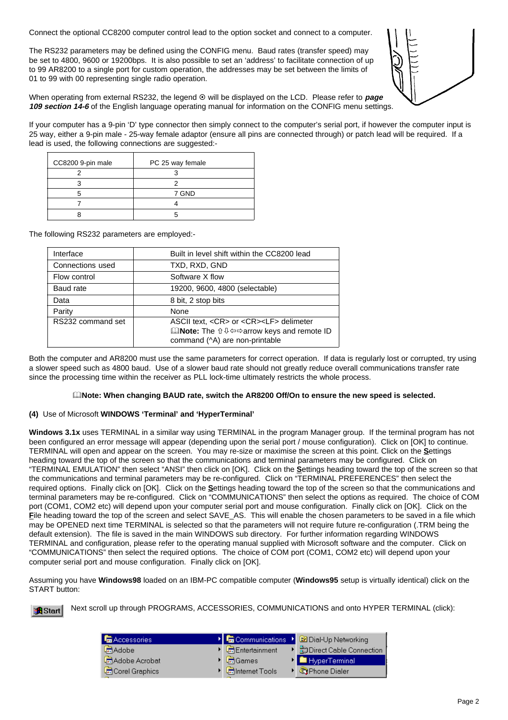Connect the optional CC8200 computer control lead to the option socket and connect to a computer.

The RS232 parameters may be defined using the CONFIG menu. Baud rates (transfer speed) may be set to 4800, 9600 or 19200bps. It is also possible to set an 'address' to facilitate connection of up to 99 AR8200 to a single port for custom operation, the addresses may be set between the limits of 01 to 99 with 00 representing single radio operation.



When operating from external RS232, the legend  $\odot$  will be displayed on the LCD. Please refer to *page* **109 section 14-6** of the English language operating manual for information on the CONFIG menu settings.

If your computer has a 9-pin 'D' type connector then simply connect to the computer's serial port, if however the computer input is 25 way, either a 9-pin male - 25-way female adaptor (ensure all pins are connected through) or patch lead will be required. If a lead is used, the following connections are suggested:-

| CC8200 9-pin male | PC 25 way female |
|-------------------|------------------|
|                   |                  |
|                   |                  |
|                   | 7 GND            |
|                   |                  |
|                   |                  |

The following RS232 parameters are employed:-

| Interface         | Built in level shift within the CC8200 lead                                                                                                                                                    |
|-------------------|------------------------------------------------------------------------------------------------------------------------------------------------------------------------------------------------|
| Connections used  | TXD, RXD, GND                                                                                                                                                                                  |
| Flow control      | Software X flow                                                                                                                                                                                |
| Baud rate         | 19200, 9600, 4800 (selectable)                                                                                                                                                                 |
| Data              | 8 bit, 2 stop bits                                                                                                                                                                             |
| Parity            | None                                                                                                                                                                                           |
| RS232 command set | ASCII text, <cr> or <cr><lf> delimeter<br/><b>QNote:</b> The û <math>\Downarrow</math> <math>\Leftrightarrow</math> arrow keys and remote ID<br/>command (^A) are non-printable</lf></cr></cr> |

Both the computer and AR8200 must use the same parameters for correct operation. If data is regularly lost or corrupted, try using a slower speed such as 4800 baud. Use of a slower baud rate should not greatly reduce overall communications transfer rate since the processing time within the receiver as PLL lock-time ultimately restricts the whole process.

### &**Note: When changing BAUD rate, switch the AR8200 Off/On to ensure the new speed is selected.**

### **(4)** Use of Microsoft **WINDOWS 'Terminal' and 'HyperTerminal'**

**Windows 3.1x** uses TERMINAL in a similar way using TERMINAL in the program Manager group. If the terminal program has not been configured an error message will appear (depending upon the serial port / mouse configuration). Click on [OK] to continue. TERMINAL will open and appear on the screen. You may re-size or maximise the screen at this point. Click on the **S**ettings heading toward the top of the screen so that the communications and terminal parameters may be configured. Click on "TERMINAL EMULATION" then select "ANSI" then click on [OK]. Click on the **S**ettings heading toward the top of the screen so that the communications and terminal parameters may be re-configured. Click on "TERMINAL PREFERENCES" then select the required options. Finally click on [OK]. Click on the **S**ettings heading toward the top of the screen so that the communications and terminal parameters may be re-configured. Click on "COMMUNICATIONS" then select the options as required. The choice of COM port (COM1, COM2 etc) will depend upon your computer serial port and mouse configuration. Finally click on [OK]. Click on the **F**ile heading toward the top of the screen and select SAVE\_AS. This will enable the chosen parameters to be saved in a file which may be OPENED next time TERMINAL is selected so that the parameters will not require future re-configuration (.TRM being the default extension). The file is saved in the main WINDOWS sub directory. For further information regarding WINDOWS TERMINAL and configuration, please refer to the operating manual supplied with Microsoft software and the computer. Click on "COMMUNICATIONS" then select the required options. The choice of COM port (COM1, COM2 etc) will depend upon your computer serial port and mouse configuration. Finally click on [OK].

Assuming you have **Windows98** loaded on an IBM-PC compatible computer (**Windows95** setup is virtually identical) click on the START button:

Next scroll up through PROGRAMS, ACCESSORIES, COMMUNICATIONS and onto HYPER TERMINAL (click):**R**Start

| <b>幅</b> Accessories | $\triangleright$ $\blacksquare$ Communications | ▶ <b>2</b> Dial-Up Networking |
|----------------------|------------------------------------------------|-------------------------------|
| <b>扁Adobe</b>        | Entertainment                                  | ▶ 品Direct Cable Connection    |
| Adobe Acrobat        | $\triangleright$ $\blacksquare$ Games          | <b>N</b> HyperTerminal        |
| Corel Graphics       | Internet Tools                                 | Phone Dialer                  |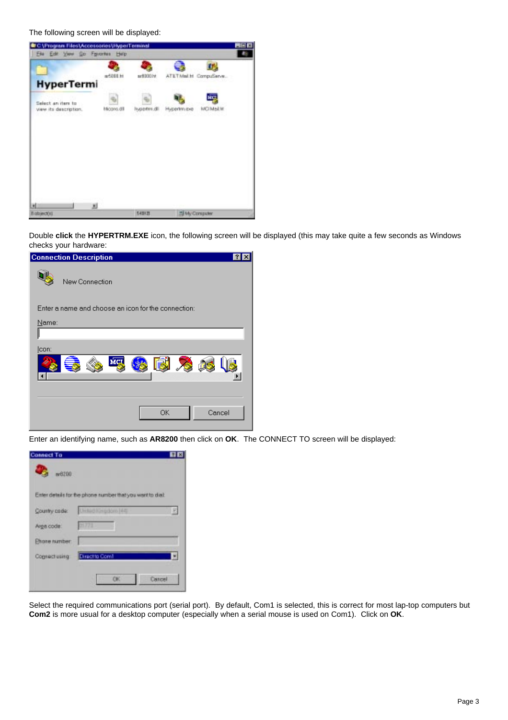The following screen will be displayed:



Double **click** the **HYPERTRM.EXE** icon, the following screen will be displayed (this may take quite a few seconds as Windows checks your hardware:

| <b>Connection Description</b>                       |                |        |
|-----------------------------------------------------|----------------|--------|
| New Connection                                      |                |        |
| Enter a name and choose an icon for the connection: |                |        |
| Name:                                               |                |        |
|                                                     |                |        |
| [con:                                               |                |        |
| м                                                   | 图<br>$\bullet$ |        |
|                                                     |                |        |
|                                                     |                |        |
|                                                     |                |        |
|                                                     | <b>OK</b>      | Cancel |
|                                                     |                |        |

Enter an identifying name, such as **AR8200** then click on **OK**. The CONNECT TO screen will be displayed:

| <b>Connect To</b><br>w8200 |                                                           | 口図 |
|----------------------------|-----------------------------------------------------------|----|
|                            | Enter details for the phone number that you want to dial: |    |
| Country code:              | <b>Unitad Kleadom Hitch</b>                               |    |
| Arge code:                 | 01773                                                     |    |
| Ehone number:              |                                                           |    |
| Cognect using              | Direct to Com1                                            |    |
|                            | CK.<br>Cancel                                             |    |

Select the required communications port (serial port). By default, Com1 is selected, this is correct for most lap-top computers but **Com2** is more usual for a desktop computer (especially when a serial mouse is used on Com1). Click on **OK**.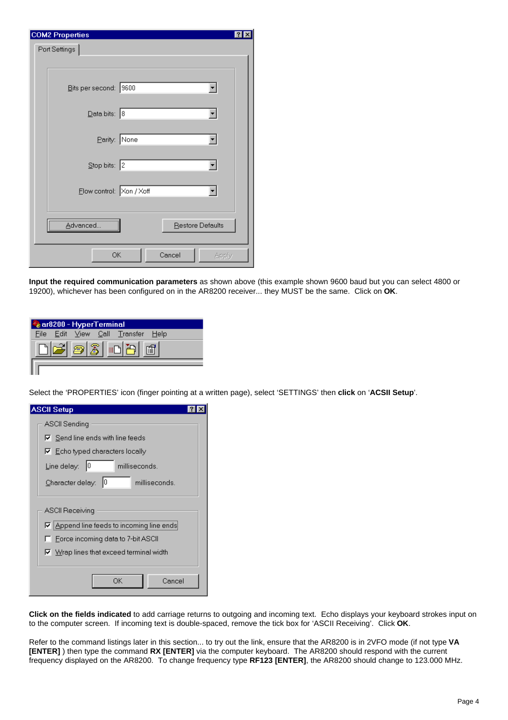| <b>COM2 Properties</b>            |                              |  |
|-----------------------------------|------------------------------|--|
| Port Settings                     |                              |  |
|                                   |                              |  |
|                                   |                              |  |
| Bits per second: 9600             |                              |  |
|                                   |                              |  |
| $\overline{\text{Data bits:}}$ 8  |                              |  |
|                                   |                              |  |
|                                   | Parity: None                 |  |
|                                   |                              |  |
| $\underline{\text{Stop bits:}}$ 2 |                              |  |
|                                   |                              |  |
| Elow control: Xon / Xoff          |                              |  |
|                                   |                              |  |
|                                   |                              |  |
| Advancec                          | Restore Defaults             |  |
|                                   |                              |  |
|                                   | Cancel<br><b>OK</b><br>Apply |  |
|                                   |                              |  |

**Input the required communication parameters** as shown above (this example shown 9600 baud but you can select 4800 or 19200), whichever has been configured on in the AR8200 receiver... they MUST be the same. Click on **OK**.

|  | & ar8200 - HyperTerminal |                     |                                   |  |
|--|--------------------------|---------------------|-----------------------------------|--|
|  |                          |                     | File Edit View Call Transfer Help |  |
|  |                          | $ \mathfrak{Z} $ in |                                   |  |
|  |                          |                     |                                   |  |

Select the 'PROPERTIES' icon (finger pointing at a written page), select 'SETTINGS' then **click** on '**ACSII Setup**'.

| ASCII Setup                                                                                          |
|------------------------------------------------------------------------------------------------------|
| ASCII Sending                                                                                        |
| $\nabla$ Send line ends with line feeds                                                              |
| $\nabla$ Echo typed characters locally                                                               |
| Line delay:<br>10<br>milliseconds.                                                                   |
| Character delay:<br>10<br>milliseconds.                                                              |
| ASCII Receiving<br>☑ Append line feeds to incoming line ends<br>F Force incoming data to 7-bit ASCII |
| $\nabla$ Wrap lines that exceed terminal width                                                       |
| OΚ<br>Cancel                                                                                         |

**Click on the fields indicated** to add carriage returns to outgoing and incoming text. Echo displays your keyboard strokes input on to the computer screen. If incoming text is double-spaced, remove the tick box for 'ASCII Receiving'. Click **OK**.

Refer to the command listings later in this section... to try out the link, ensure that the AR8200 is in 2VFO mode (if not type **VA [ENTER]** ) then type the command **RX [ENTER]** via the computer keyboard. The AR8200 should respond with the current frequency displayed on the AR8200. To change frequency type **RF123 [ENTER]**, the AR8200 should change to 123.000 MHz.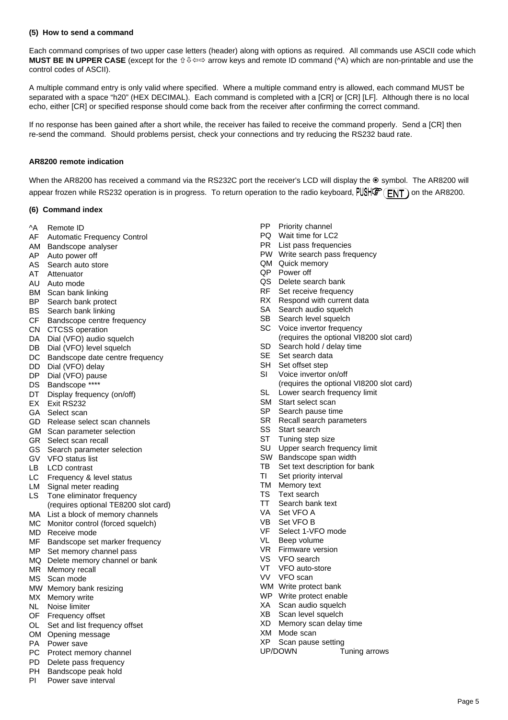#### **(5) How to send a command**

Each command comprises of two upper case letters (header) along with options as required. All commands use ASCII code which **MUST BE IN UPPER CASE** (except for the û ↓  $\Leftrightarrow$  arrow keys and remote ID command (^A) which are non-printable and use the control codes of ASCII).

A multiple command entry is only valid where specified. Where a multiple command entry is allowed, each command MUST be separated with a space "h20" (HEX DECIMAL). Each command is completed with a [CR] or [CR] [LF]. Although there is no local echo, either [CR] or specified response should come back from the receiver after confirming the correct command.

If no response has been gained after a short while, the receiver has failed to receive the command properly. Send a [CR] then re-send the command. Should problems persist, check your connections and try reducing the RS232 baud rate.

#### **AR8200 remote indication**

When the AR8200 has received a command via the RS232C port the receiver's LCD will display the  $\odot$  symbol. The AR8200 will appear frozen while RS232 operation is in progress. To return operation to the radio keyboard,  $PUSH\&F(T)$  on the AR8200.

#### **(6) Command index**

#### ^A Remote ID

- AF Automatic Frequency Control
- AM Bandscope analyser
- AP Auto power off
- AS Search auto store
- AT Attenuator
- AU Auto mode
- BM Scan bank linking
- BP Search bank protect
- BS Search bank linking
- CF Bandscope centre frequency
- CN CTCSS operation
- DA Dial (VFO) audio squelch
- DB Dial (VFO) level squelch
- DC Bandscope date centre frequency
- DD Dial (VFO) delay
- DP Dial (VFO) pause
- DS Bandscope \*\*\*\*
- DT Display frequency (on/off)
- EX Exit RS232
- GA Select scan
- GD Release select scan channels
- GM Scan parameter selection
- GR Select scan recall
- GS Search parameter selection
- GV VFO status list
- LB LCD contrast
- LC Frequency & level status
- LM Signal meter reading
- LS Tone eliminator frequency (requires optional TE8200 slot card)
- MA List a block of memory channels
- MC Monitor control (forced squelch)
- MD Receive mode
- MF Bandscope set marker frequency
- MP Set memory channel pass
- MQ Delete memory channel or bank
- MR Memory recall
- MS Scan mode
- MW Memory bank resizing
- MX Memory write
- NL Noise limiter
- OF Frequency offset
- OL Set and list frequency offset
- OM Opening message
- PA Power save
- PC Protect memory channel
- PD Delete pass frequency
- PH Bandscope peak hold
- PI Power save interval
- PP Priority channel
- PQ Wait time for LC2
- PR List pass frequencies
- PW Write search pass frequency
- QM Quick memory
- QP Power off
- QS Delete search bank
- RF Set receive frequency
- RX Respond with current data
- SA Search audio squelch
- SB Search level squelch
- SC Voice invertor frequency
	- (requires the optional VI8200 slot card)
- SD Search hold / delay time
- SE Set search data
- SH Set offset step
- SI Voice invertor on/off (requires the optional VI8200 slot card)
- SL Lower search frequency limit
- SM Start select scan
- SP Search pause time
- SR Recall search parameters
- SS Start search
- ST Tuning step size
- SU Upper search frequency limit
- SW Bandscope span width
- TB Set text description for bank
- TI Set priority interval
- TM Memory text
- TS Text search
- TT Search bank text
- VA Set VFO A
- VB Set VFO B
- VF Select 1-VFO mode
- VL Beep volume
- VR Firmware version
- VS VFO search
- VT VFO auto-store
- VV VFO scan
- WM Write protect bank
- WP Write protect enable
- XA Scan audio squelch XB Scan level squelch
- XD Memory scan delay time

UP/DOWN Tuning arrows

Page 5

- XM Mode scan
- XP Scan pause setting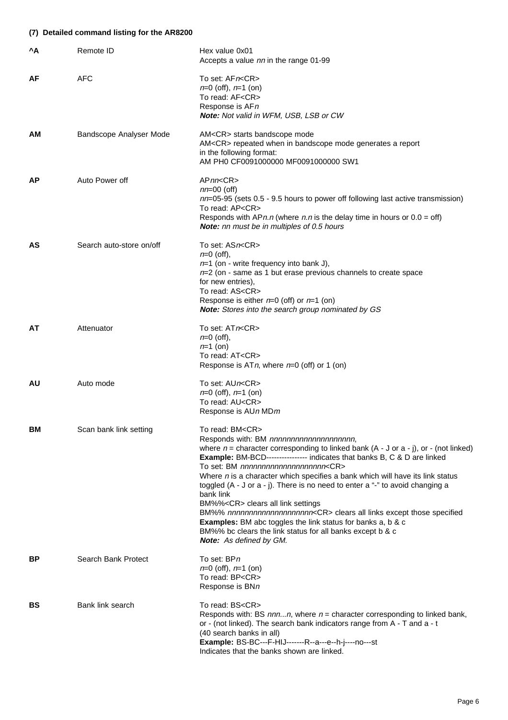### **(7) Detailed command listing for the AR8200**

| ^A        | Remote ID                | Hex value 0x01<br>Accepts a value nn in the range 01-99                                                                                                                                                                                                                                                                                                                                                                                                                                                                                                                                                                                                                                                                                                                                                                |
|-----------|--------------------------|------------------------------------------------------------------------------------------------------------------------------------------------------------------------------------------------------------------------------------------------------------------------------------------------------------------------------------------------------------------------------------------------------------------------------------------------------------------------------------------------------------------------------------------------------------------------------------------------------------------------------------------------------------------------------------------------------------------------------------------------------------------------------------------------------------------------|
| AF        | <b>AFC</b>               | To set: AFn <cr><br/><math>n=0</math> (off), <math>n=1</math> (on)<br/>To read: AF<cr><br/>Response is AFn<br/><b>Note:</b> Not valid in WFM, USB, LSB or CW</cr></cr>                                                                                                                                                                                                                                                                                                                                                                                                                                                                                                                                                                                                                                                 |
| AM        | Bandscope Analyser Mode  | AM <cr> starts bandscope mode<br/>AM<cr> repeated when in bandscope mode generates a report<br/>in the following format:<br/>AM PH0 CF0091000000 MF0091000000 SW1</cr></cr>                                                                                                                                                                                                                                                                                                                                                                                                                                                                                                                                                                                                                                            |
| АP        | Auto Power off           | APnn <cr><br/><math>nn=00</math> (off)<br/><math>nn=05-95</math> (sets 0.5 - 9.5 hours to power off following last active transmission)<br/>To read: AP<cr><br/>Responds with <math>APn.n</math> (where n.n is the delay time in hours or <math>0.0 =</math> off)<br/><b>Note:</b> nn must be in multiples of 0.5 hours</cr></cr>                                                                                                                                                                                                                                                                                                                                                                                                                                                                                      |
| AS        | Search auto-store on/off | To set: ASn <cr><br/><math>n=0</math> (off),<br/><math>n=1</math> (on - write frequency into bank J),<br/><math>n=2</math> (on - same as 1 but erase previous channels to create space<br/>for new entries),<br/>To read: AS<cr><br/>Response is either <math>n=0</math> (off) or <math>n=1</math> (on)<br/>Note: Stores into the search group nominated by GS</cr></cr>                                                                                                                                                                                                                                                                                                                                                                                                                                               |
| AT        | Attenuator               | To set: ATn <cr><br/><math>n=0</math> (off),<br/><math>n=1</math> (on)<br/>To read: AT<cr><br/>Response is ATn, where <math>n=0</math> (off) or 1 (on)</cr></cr>                                                                                                                                                                                                                                                                                                                                                                                                                                                                                                                                                                                                                                                       |
| AU.       | Auto mode                | To set: AUn <cr><br/><math>n=0</math> (off), <math>n=1</math> (on)<br/>To read: AU<cr><br/>Response is AUn MDm</cr></cr>                                                                                                                                                                                                                                                                                                                                                                                                                                                                                                                                                                                                                                                                                               |
| BM        | Scan bank link setting   | To read: BM <cr><br/>Responds with: BM nnnnnnnnnnnnnnnnnnnnn,<br/>where <math>n =</math> character corresponding to linked bank (A - J or a - j), or - (not linked)<br/><b>Example:</b> BM-BCD----------------- indicates that banks B, C &amp; D are linked<br/>To set: BM nnnnnnnnnnnnnnnnnnnnn<cr><br/>Where <math>n</math> is a character which specifies a bank which will have its link status<br/>toggled (A - J or a - j). There is no need to enter a "-" to avoid changing a<br/>bank link<br/>BM%%<cr> clears all link settings<br/>BM%% nnnnnnnnnnnnnnnnnnnncCR&gt; clears all links except those specified<br/><b>Examples:</b> BM abc toggles the link status for banks a, b &amp; c<br/>BM%% bc clears the link status for all banks except b &amp; c<br/><b>Note:</b> As defined by GM.</cr></cr></cr> |
| ВP        | Search Bank Protect      | To set: BPn<br>$n=0$ (off), $n=1$ (on)<br>To read: BP <cr><br/>Response is BNn</cr>                                                                                                                                                                                                                                                                                                                                                                                                                                                                                                                                                                                                                                                                                                                                    |
| <b>BS</b> | Bank link search         | To read: BS <cr><br/>Responds with: BS <math>nnnn</math>, where <math>n =</math> character corresponding to linked bank,<br/>or - (not linked). The search bank indicators range from A - T and a - t<br/>(40 search banks in all)<br/>Example: BS-BC---F-HIJ-------R--a---e--h-j----no---st<br/>Indicates that the banks shown are linked.</cr>                                                                                                                                                                                                                                                                                                                                                                                                                                                                       |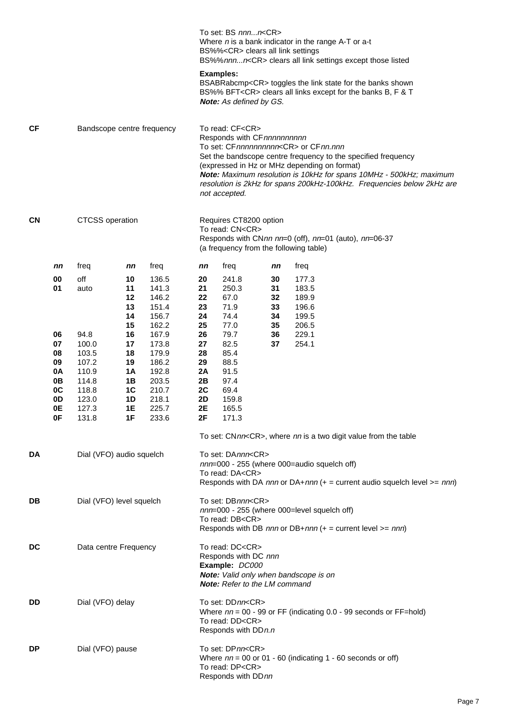|    |                        |                            |                      |                |                                                                                                                                                                                                                                                                                                                                                                                             | To set: BS nnnn <cr><br/>BS%%<cr> clears all link settings</cr></cr>                                                                                       |          | Where $n$ is a bank indicator in the range A-T or a-t<br>BS%%nnnn <cr> clears all link settings except those listed</cr>                 |  |  |
|----|------------------------|----------------------------|----------------------|----------------|---------------------------------------------------------------------------------------------------------------------------------------------------------------------------------------------------------------------------------------------------------------------------------------------------------------------------------------------------------------------------------------------|------------------------------------------------------------------------------------------------------------------------------------------------------------|----------|------------------------------------------------------------------------------------------------------------------------------------------|--|--|
|    |                        |                            |                      |                |                                                                                                                                                                                                                                                                                                                                                                                             | <b>Examples:</b><br><b>Note:</b> As defined by GS.                                                                                                         |          | BSABRabcmp <cr> toggles the link state for the banks shown<br/>BS%% BFT<cr> clears all links except for the banks B, F &amp; T</cr></cr> |  |  |
| СF |                        | Bandscope centre frequency |                      |                | To read: CF <cr><br/>Responds with CF nnnnnnnnnn<br/>To set: CFnnnnnnnnnn<cr> or CFnn.nnn<br/>Set the bandscope centre frequency to the specified frequency<br/>(expressed in Hz or MHz depending on format)<br/>Note: Maximum resolution is 10kHz for spans 10MHz - 500kHz; maximum<br/>resolution is 2kHz for spans 200kHz-100kHz. Frequencies below 2kHz are<br/>not accepted.</cr></cr> |                                                                                                                                                            |          |                                                                                                                                          |  |  |
| CN | <b>CTCSS</b> operation |                            |                      |                |                                                                                                                                                                                                                                                                                                                                                                                             | Requires CT8200 option<br>To read: CN <cr><br/>Responds with CNnn nn=0 (off), nn=01 (auto), nn=06-37<br/>(a frequency from the following table)</cr>       |          |                                                                                                                                          |  |  |
|    | nn                     | freq                       | nn                   | freq           | nn                                                                                                                                                                                                                                                                                                                                                                                          | freq                                                                                                                                                       | nn       | freq                                                                                                                                     |  |  |
|    | 00                     | off                        | 10                   | 136.5          | 20                                                                                                                                                                                                                                                                                                                                                                                          | 241.8                                                                                                                                                      | 30       | 177.3                                                                                                                                    |  |  |
|    | 01                     | auto                       | 11<br>12             | 141.3<br>146.2 | 21<br>22                                                                                                                                                                                                                                                                                                                                                                                    | 250.3<br>67.0                                                                                                                                              | 31<br>32 | 183.5<br>189.9                                                                                                                           |  |  |
|    |                        |                            | 13                   | 151.4          | 23                                                                                                                                                                                                                                                                                                                                                                                          | 71.9                                                                                                                                                       | 33       | 196.6                                                                                                                                    |  |  |
|    |                        |                            | 14<br>15             | 156.7<br>162.2 | 24<br>25                                                                                                                                                                                                                                                                                                                                                                                    | 74.4<br>77.0                                                                                                                                               | 34<br>35 | 199.5<br>206.5                                                                                                                           |  |  |
|    | 06                     | 94.8                       | 16                   | 167.9          | 26                                                                                                                                                                                                                                                                                                                                                                                          | 79.7                                                                                                                                                       | 36       | 229.1                                                                                                                                    |  |  |
|    | 07                     | 100.0                      | 17                   | 173.8          | 27                                                                                                                                                                                                                                                                                                                                                                                          | 82.5                                                                                                                                                       | 37       | 254.1                                                                                                                                    |  |  |
|    | 08<br>09               | 103.5<br>107.2             | 18<br>19             | 179.9<br>186.2 | 28<br>29                                                                                                                                                                                                                                                                                                                                                                                    | 85.4<br>88.5                                                                                                                                               |          |                                                                                                                                          |  |  |
|    | 0A                     | 110.9                      | 1A                   | 192.8          | 2A                                                                                                                                                                                                                                                                                                                                                                                          | 91.5                                                                                                                                                       |          |                                                                                                                                          |  |  |
|    | 0B                     | 114.8                      | 1B                   | 203.5          | 2B                                                                                                                                                                                                                                                                                                                                                                                          | 97.4                                                                                                                                                       |          |                                                                                                                                          |  |  |
|    | 0C<br>0D               | 118.8<br>123.0             | 1 <sup>C</sup><br>1D | 210.7<br>218.1 | 2C<br>2D                                                                                                                                                                                                                                                                                                                                                                                    | 69.4<br>159.8                                                                                                                                              |          |                                                                                                                                          |  |  |
|    | <b>0E</b>              | 127.3                      | 1E                   | 225.7          | 2E                                                                                                                                                                                                                                                                                                                                                                                          | 165.5                                                                                                                                                      |          |                                                                                                                                          |  |  |
|    | 0F                     | 131.8                      | 1F                   | 233.6          | 2F                                                                                                                                                                                                                                                                                                                                                                                          | 171.3                                                                                                                                                      |          |                                                                                                                                          |  |  |
|    |                        |                            |                      |                |                                                                                                                                                                                                                                                                                                                                                                                             |                                                                                                                                                            |          | To set: CNnn <cr>, where nn is a two digit value from the table</cr>                                                                     |  |  |
| DA |                        | Dial (VFO) audio squelch   |                      |                |                                                                                                                                                                                                                                                                                                                                                                                             | To set: DAnnn <cr><br/>To read: DA<cr></cr></cr>                                                                                                           |          | nnn=000 - 255 (where 000=audio squelch off)<br>Responds with DA nnn or DA+nnn $(+)$ = current audio squelch level $>=$ nnn)              |  |  |
| DB |                        | Dial (VFO) level squelch   |                      |                |                                                                                                                                                                                                                                                                                                                                                                                             | To set: DBnnn <cr><br/>To read: DB<cr></cr></cr>                                                                                                           |          | nnn=000 - 255 (where 000=level squelch off)<br>Responds with DB nnn or DB+nnn (+ = current level $>=$ nnn)                               |  |  |
| DC |                        | Data centre Frequency      |                      |                | To read: DC <cr><br/>Responds with DC nnn<br/>Example: DC000<br/>Note: Valid only when bandscope is on<br/><b>Note:</b> Refer to the LM command</cr>                                                                                                                                                                                                                                        |                                                                                                                                                            |          |                                                                                                                                          |  |  |
| DD |                        | Dial (VFO) delay           |                      |                |                                                                                                                                                                                                                                                                                                                                                                                             | To set: DDnn <cr><br/>Where <math>nn = 00 - 99</math> or FF (indicating 0.0 - 99 seconds or FF=hold)<br/>To read: DD<cr><br/>Responds with DDn.n</cr></cr> |          |                                                                                                                                          |  |  |
| DP |                        | Dial (VFO) pause           |                      |                |                                                                                                                                                                                                                                                                                                                                                                                             | To set: DPnn <cr><br/>To read: DP<cr><br/>Responds with DDnn</cr></cr>                                                                                     |          | Where $nn = 00$ or 01 - 60 (indicating 1 - 60 seconds or off)                                                                            |  |  |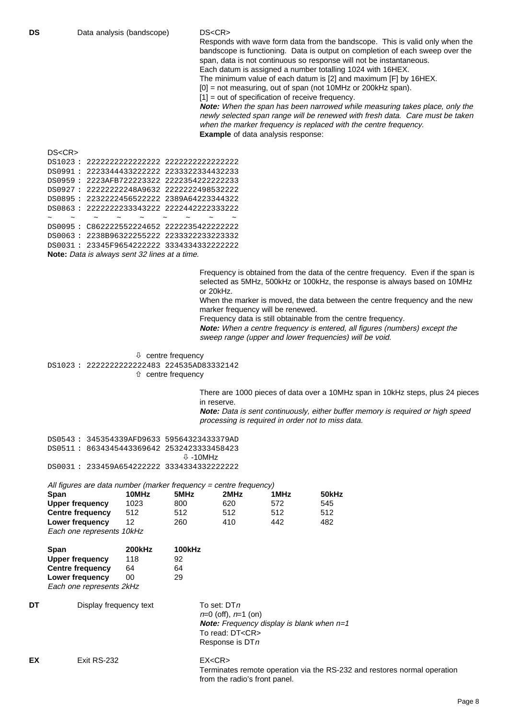Responds with wave form data from the bandscope. This is valid only when the bandscope is functioning. Data is output on completion of each sweep over the span, data is not continuous so response will not be instantaneous. Each datum is assigned a number totalling 1024 with 16HEX.

The minimum value of each datum is [2] and maximum [F] by 16HEX.

[0] = not measuring, out of span (not 10MHz or 200kHz span).

[1] = out of specification of receive frequency.

**Note:** When the span has been narrowed while measuring takes place, only the newly selected span range will be renewed with fresh data. Care must be taken when the marker frequency is replaced with the centre frequency. **Example** of data analysis response:

#### DS<CR>

| DS1023: 2222222222222222 2222222222222222                                                                                                                                                                                                                                                        |  |                             |  |        |
|--------------------------------------------------------------------------------------------------------------------------------------------------------------------------------------------------------------------------------------------------------------------------------------------------|--|-----------------------------|--|--------|
| DS0991: 2223344433222222 2233322334432233                                                                                                                                                                                                                                                        |  |                             |  |        |
| DS0959: 2223AFB722223322 2222354222222233                                                                                                                                                                                                                                                        |  |                             |  |        |
| DS0927: 22222222248A9632 2222222498532222                                                                                                                                                                                                                                                        |  |                             |  |        |
| DS0895: 2232222456522222 2389A64223344322                                                                                                                                                                                                                                                        |  |                             |  |        |
| DS0863: 2222222233343222 2222442222333222                                                                                                                                                                                                                                                        |  |                             |  |        |
| $\sim$ $\sim$                                                                                                                                                                                                                                                                                    |  | $\sim$ $\sim$ $\sim$ $\sim$ |  | $\sim$ |
| DS0095: C862222552224652 2222235422222222                                                                                                                                                                                                                                                        |  |                             |  |        |
| DS0063: 2238B96322255222 2233322233223332                                                                                                                                                                                                                                                        |  |                             |  |        |
| DS0031: 23345F9654222222 3334334332222222                                                                                                                                                                                                                                                        |  |                             |  |        |
| $\mathbf{M}$ and $\mathbf{N}$ and $\mathbf{N}$ and $\mathbf{N}$ and $\mathbf{N}$ and $\mathbf{N}$ and $\mathbf{N}$ and $\mathbf{N}$ and $\mathbf{N}$ and $\mathbf{N}$ and $\mathbf{N}$ and $\mathbf{N}$ and $\mathbf{N}$ and $\mathbf{N}$ and $\mathbf{N}$ and $\mathbf{N}$ and $\mathbf{N}$ and |  |                             |  |        |

**Note:** Data is always sent 32 lines at a time.

Frequency is obtained from the data of the centre frequency. Even if the span is selected as 5MHz, 500kHz or 100kHz, the response is always based on 10MHz or 20kHz.

When the marker is moved, the data between the centre frequency and the new marker frequency will be renewed.

Frequency data is still obtainable from the centre frequency.

**Note:** When a centre frequency is entered, all figures (numbers) except the sweep range (upper and lower frequencies) will be void.

 $\sqrt[1]{ }$  centre frequency DS1023 : 2222222222222483 224535AD83332142 ñ centre frequency

> There are 1000 pieces of data over a 10MHz span in 10kHz steps, plus 24 pieces in reserve.

**Note:** Data is sent continuously, either buffer memory is required or high speed processing is required in order not to miss data.

| DS0543: 345354339AFD9633 59564323433379AD  |          |
|--------------------------------------------|----------|
| DS0511 : 8634345443369642 2532423333458423 |          |
|                                            | ⊕ -10MHz |
| DS0031: 233459A654222222 3334334332222222  |          |

| All figures are data number (marker frequency = centre frequency) |       |      |      |      |       |
|-------------------------------------------------------------------|-------|------|------|------|-------|
| Span                                                              | 10MHz | 5MHz | 2MHz | 1MHz | 50kHz |
| Upper frequency                                                   | 1023  | 800  | 620  | 572  | 545   |
| <b>Centre frequency</b>                                           | 512   | 512  | 512  | 512  | 512   |
| Lower frequency                                                   | 12    | 260  | 410  | 442  | 482   |
| Each one represents 10kHz                                         |       |      |      |      |       |

| Span                     | <b>200kHz</b> | 100kHz |  |  |
|--------------------------|---------------|--------|--|--|
| <b>Upper frequency</b>   | 118           | 92     |  |  |
| <b>Centre frequency</b>  | 64            | 64     |  |  |
| Lower frequency          | ΩO            | 29     |  |  |
| Each one represents 2kHz |               |        |  |  |

**DT** Display frequency text To set: DTn

 $n=0$  (off),  $n=1$  (on) **Note:** Frequency display is blank when  $n=1$ To read: DT<CR> Response is DTn

Terminates remote operation via the RS-232 and restores normal operation from the radio's front panel.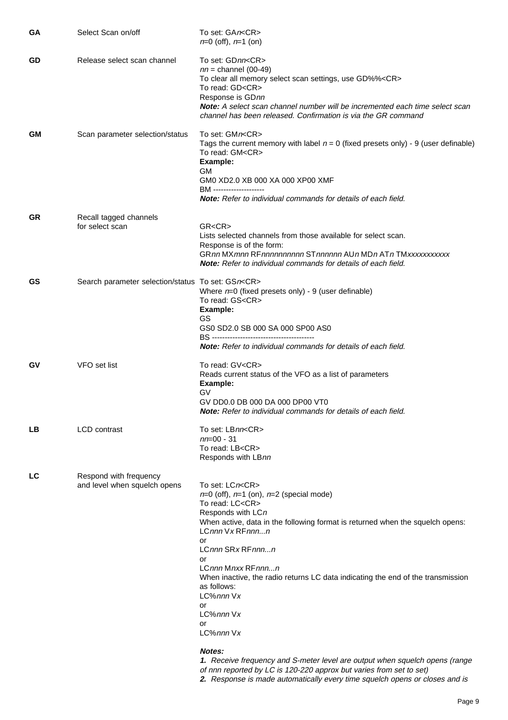| GA  | Select Scan on/off                                      | To set: GAn <cr><br/><math>n=0</math> (off), <math>n=1</math> (on)</cr>                                                                                                                                                                                                                                                                                                                                                                                                                                                                                                                                                                               |
|-----|---------------------------------------------------------|-------------------------------------------------------------------------------------------------------------------------------------------------------------------------------------------------------------------------------------------------------------------------------------------------------------------------------------------------------------------------------------------------------------------------------------------------------------------------------------------------------------------------------------------------------------------------------------------------------------------------------------------------------|
| GD  | Release select scan channel                             | To set: GDnn <cr><br/><math>nn =</math>channel (00-49)<br/>To clear all memory select scan settings, use GD%%<cr><br/>To read: GD<cr><br/>Response is GDnn<br/>Note: A select scan channel number will be incremented each time select scan<br/>channel has been released. Confirmation is via the GR command</cr></cr></cr>                                                                                                                                                                                                                                                                                                                          |
| GM. | Scan parameter selection/status                         | To set: GMn <cr><br/>Tags the current memory with label <math>n = 0</math> (fixed presets only) - 9 (user definable)<br/>To read: GM<cr><br/>Example:<br/>GM.<br/>GM0 XD2.0 XB 000 XA 000 XP00 XMF<br/>BM --------------------<br/><b>Note:</b> Refer to individual commands for details of each field.</cr></cr>                                                                                                                                                                                                                                                                                                                                     |
| GR  | Recall tagged channels<br>for select scan               | GR < CR<br>Lists selected channels from those available for select scan.<br>Response is of the form:<br>GRnn MXmnn RFnnnnnnnnnn STnnnnnn AUn MDn ATn TMxxxxxxxxxxx<br><b>Note:</b> Refer to individual commands for details of each field.                                                                                                                                                                                                                                                                                                                                                                                                            |
| GS. | Search parameter selection/status To set: GSn <cr></cr> | Where $n=0$ (fixed presets only) - 9 (user definable)<br>To read: GS <cr><br/>Example:<br/>GS<br/>GS0 SD2.0 SB 000 SA 000 SP00 AS0<br/>BS -----------------------------------<br/><b>Note:</b> Refer to individual commands for details of each field.</cr>                                                                                                                                                                                                                                                                                                                                                                                           |
| GV. | VFO set list                                            | To read: GV <cr><br/>Reads current status of the VFO as a list of parameters<br/>Example:<br/>GV<br/>GV DD0.0 DB 000 DA 000 DP00 VT0<br/>Note: Refer to individual commands for details of each field.</cr>                                                                                                                                                                                                                                                                                                                                                                                                                                           |
| LВ  | <b>LCD</b> contrast                                     | To set: LBnn <cr><br/><math>nn = 00 - 31</math><br/>To read: LB<cr><br/>Responds with LBnn</cr></cr>                                                                                                                                                                                                                                                                                                                                                                                                                                                                                                                                                  |
| LC  | Respond with frequency<br>and level when squelch opens  | To set: LCn <cr><br/><math>n=0</math> (off), <math>n=1</math> (on), <math>n=2</math> (special mode)<br/>To read: LC<cr><br/>Responds with LCn<br/>When active, data in the following format is returned when the squelch opens:<br/>LCnnn Vx RFnnnn<br/>or<br/>LCnnn SRx RFnnnn<br/>or<br/>LCnnn Mnxx RFnnnn<br/>When inactive, the radio returns LC data indicating the end of the transmission<br/>as follows:<br/>LC%nnn Vx<br/>or<br/>LC%nnn Vx<br/>or<br/>LC%nnn Vx<br/>Notes:<br/>1. Receive frequency and S-meter level are output when squelch opens (range<br/>of nnn reported by LC is 120-220 approx but varies from set to set)</cr></cr> |

**2.** Response is made automatically every time squelch opens or closes and is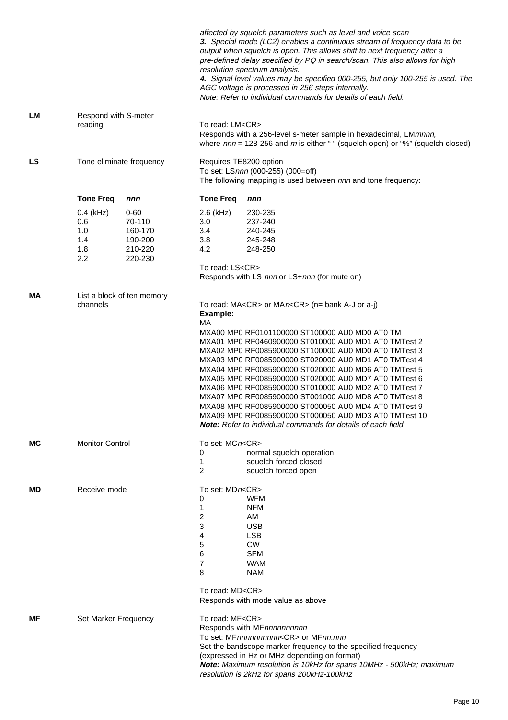|           |                                                |                                                                |                                                                            | affected by squelch parameters such as level and voice scan<br>3. Special mode (LC2) enables a continuous stream of frequency data to be<br>output when squelch is open. This allows shift to next frequency after a<br>pre-defined delay specified by PQ in search/scan. This also allows for high<br>resolution spectrum analysis.<br>4. Signal level values may be specified 000-255, but only 100-255 is used. The<br>AGC voltage is processed in 256 steps internally.<br>Note: Refer to individual commands for details of each field.                                                                                                                                                                             |  |  |
|-----------|------------------------------------------------|----------------------------------------------------------------|----------------------------------------------------------------------------|--------------------------------------------------------------------------------------------------------------------------------------------------------------------------------------------------------------------------------------------------------------------------------------------------------------------------------------------------------------------------------------------------------------------------------------------------------------------------------------------------------------------------------------------------------------------------------------------------------------------------------------------------------------------------------------------------------------------------|--|--|
| LM        | reading                                        | Respond with S-meter                                           |                                                                            | To read: LM <cr><br/>Responds with a 256-level s-meter sample in hexadecimal, LMmnnn,<br/>where <math>nnn = 128-256</math> and m is either " " (squelch open) or "%" (squelch closed)</cr>                                                                                                                                                                                                                                                                                                                                                                                                                                                                                                                               |  |  |
| <b>LS</b> |                                                | Tone eliminate frequency                                       | Requires TE8200 option                                                     | To set: LSnnn (000-255) (000=off)<br>The following mapping is used between nnn and tone frequency:                                                                                                                                                                                                                                                                                                                                                                                                                                                                                                                                                                                                                       |  |  |
|           | <b>Tone Freq</b>                               | nnn                                                            | <b>Tone Freq</b>                                                           | nnn                                                                                                                                                                                                                                                                                                                                                                                                                                                                                                                                                                                                                                                                                                                      |  |  |
|           | $0.4$ (kHz)<br>0.6<br>1.0<br>1.4<br>1.8<br>2.2 | $0 - 60$<br>70-110<br>160-170<br>190-200<br>210-220<br>220-230 | $2.6$ (kHz)<br>3.0<br>3.4<br>3.8<br>$4.2^{\circ}$<br>To read: LS <cr></cr> | 230-235<br>237-240<br>240-245<br>245-248<br>248-250<br>Responds with LS nnn or LS+nnn (for mute on)                                                                                                                                                                                                                                                                                                                                                                                                                                                                                                                                                                                                                      |  |  |
| МA        | channels                                       | List a block of ten memory                                     |                                                                            | To read: MA <cr> or MAn<cr> (n= bank A-J or a-j)<br/>MXA00 MP0 RF0101100000 ST100000 AU0 MD0 AT0 TM<br/>MXA01 MP0 RF0460900000 ST010000 AU0 MD1 AT0 TMTest 2<br/>MXA02 MP0 RF0085900000 ST100000 AU0 MD0 AT0 TMTest 3<br/>MXA03 MP0 RF0085900000 ST020000 AU0 MD1 AT0 TMTest 4<br/>MXA04 MP0 RF0085900000 ST020000 AU0 MD6 AT0 TMTest 5<br/>MXA05 MP0 RF0085900000 ST020000 AU0 MD7 AT0 TMTest 6<br/>MXA06 MP0 RF0085900000 ST010000 AU0 MD2 AT0 TMTest 7<br/>MXA07 MP0 RF0085900000 ST001000 AU0 MD8 AT0 TMTest 8<br/>MXA08 MP0 RF0085900000 ST000050 AU0 MD4 AT0 TMTest 9<br/>MXA09 MP0 RF0085900000 ST000050 AU0 MD3 AT0 TMTest 10<br/><b>Note:</b> Refer to individual commands for details of each field.</cr></cr> |  |  |
| МC        | <b>Monitor Control</b>                         |                                                                | To set: MCn <cr><br/>0<br/>1<br/><math>\overline{c}</math></cr>            | normal squelch operation<br>squelch forced closed<br>squelch forced open                                                                                                                                                                                                                                                                                                                                                                                                                                                                                                                                                                                                                                                 |  |  |
| MD.       |                                                | Receive mode                                                   |                                                                            | To set: MDn <cr><br/><b>WFM</b><br/><b>NFM</b><br/>AM<br/><b>USB</b><br/><b>LSB</b><br/><b>CW</b><br/><b>SFM</b><br/><b>WAM</b><br/><b>NAM</b><br/>To read: MD<cr><br/>Responds with mode value as above</cr></cr>                                                                                                                                                                                                                                                                                                                                                                                                                                                                                                       |  |  |
| MF.       | Set Marker Frequency                           |                                                                | To read: MF <cr></cr>                                                      | Responds with MFnnnnnnnnnn<br>To set: MFnnnnnnnnnn <cr> or MFnn.nnn<br/>Set the bandscope marker frequency to the specified frequency<br/>(expressed in Hz or MHz depending on format)<br/>Note: Maximum resolution is 10kHz for spans 10MHz - 500kHz; maximum<br/>resolution is 2kHz for spans 200kHz-100kHz</cr>                                                                                                                                                                                                                                                                                                                                                                                                       |  |  |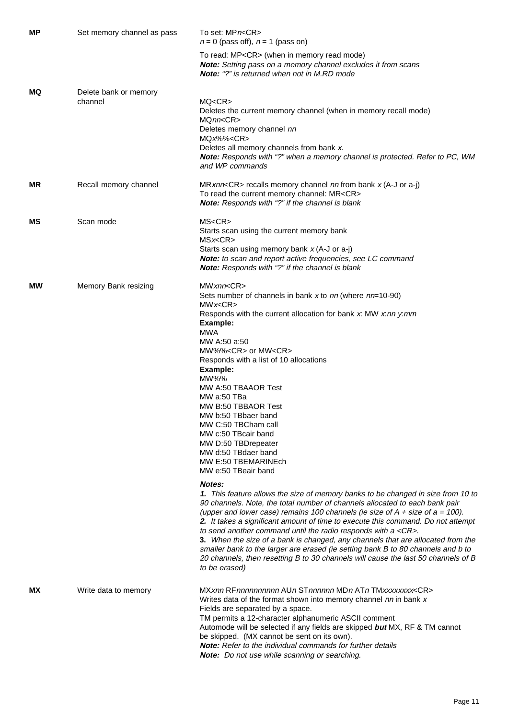| MР | Set memory channel as pass       | To set: MPn <cr><br/><math>n = 0</math> (pass off), <math>n = 1</math> (pass on)</cr>                                                                                                                                                                                                                                                                                                                                                                                                                                                                                                                                                                                                                      |
|----|----------------------------------|------------------------------------------------------------------------------------------------------------------------------------------------------------------------------------------------------------------------------------------------------------------------------------------------------------------------------------------------------------------------------------------------------------------------------------------------------------------------------------------------------------------------------------------------------------------------------------------------------------------------------------------------------------------------------------------------------------|
|    |                                  | To read: MP <cr> (when in memory read mode)<br/>Note: Setting pass on a memory channel excludes it from scans<br/>Note: "?" is returned when not in M.RD mode</cr>                                                                                                                                                                                                                                                                                                                                                                                                                                                                                                                                         |
| MQ | Delete bank or memory<br>channel | MQ <cr><br/>Deletes the current memory channel (when in memory recall mode)<br/>MQnn<cr><br/>Deletes memory channel nn<br/><math>MQx\%</math>%&lt;<math>CR</math>&gt;<br/>Deletes all memory channels from bank x.<br/>Note: Responds with "?" when a memory channel is protected. Refer to PC, WM<br/>and WP commands</cr></cr>                                                                                                                                                                                                                                                                                                                                                                           |
| ΜR | Recall memory channel            | MRxnn <cr> recalls memory channel nn from bank x (A-J or a-j)<br/>To read the current memory channel: MR<cr><br/>Note: Responds with "?" if the channel is blank</cr></cr>                                                                                                                                                                                                                                                                                                                                                                                                                                                                                                                                 |
| MS | Scan mode                        | MS < CR<br>Starts scan using the current memory bank<br>MSx < CR<br>Starts scan using memory bank $x$ (A-J or a-j)<br>Note: to scan and report active frequencies, see LC command<br>Note: Responds with "?" if the channel is blank                                                                                                                                                                                                                                                                                                                                                                                                                                                                       |
| МW | Memory Bank resizing             | MWxnn <cr><br/>Sets number of channels in bank x to nn (where nn=10-90)<br/>MWx &lt; CR<br/>Responds with the current allocation for bank <math>x</math>: MW <math>x</math>: nn <math>y</math>: mm<br/>Example:<br/>MWA<br/>MW A:50 a:50<br/>MW%%<cr> or MW<cr><br/>Responds with a list of 10 allocations<br/>Example:<br/>MW%%<br/>MW A:50 TBAAOR Test<br/>MW a:50 TBa<br/>MW B:50 TBBAOR Test<br/>MW b:50 TBbaer band<br/>MW C:50 TBCham call<br/>MW c:50 TBcair band<br/>MW D:50 TBDrepeater<br/>MW d:50 TBdaer band<br/>MW E:50 TBEMARINEch<br/>MW e:50 TBeair band</cr></cr></cr>                                                                                                                    |
|    |                                  | Notes:<br>1. This feature allows the size of memory banks to be changed in size from 10 to<br>90 channels. Note, the total number of channels allocated to each bank pair<br>(upper and lower case) remains 100 channels (ie size of $A + size$ of $a = 100$ ).<br>2. It takes a significant amount of time to execute this command. Do not attempt<br>to send another command until the radio responds with a <cr>.<br/>3. When the size of a bank is changed, any channels that are allocated from the<br/>smaller bank to the larger are erased (ie setting bank B to 80 channels and b to<br/>20 channels, then resetting B to 30 channels will cause the last 50 channels of B<br/>to be erased)</cr> |
| MΧ | Write data to memory             | MXxnn RFnnnnnnnnnn AUn STnnnnnn MDn ATn TMxxxxxxxx <cr><br/>Writes data of the format shown into memory channel nn in bank x<br/>Fields are separated by a space.<br/>TM permits a 12-character alphanumeric ASCII comment<br/>Automode will be selected if any fields are skipped but MX, RF &amp; TM cannot<br/>be skipped. (MX cannot be sent on its own).<br/><b>Note:</b> Refer to the individual commands for further details<br/>Note: Do not use while scanning or searching.</cr>                                                                                                                                                                                                                 |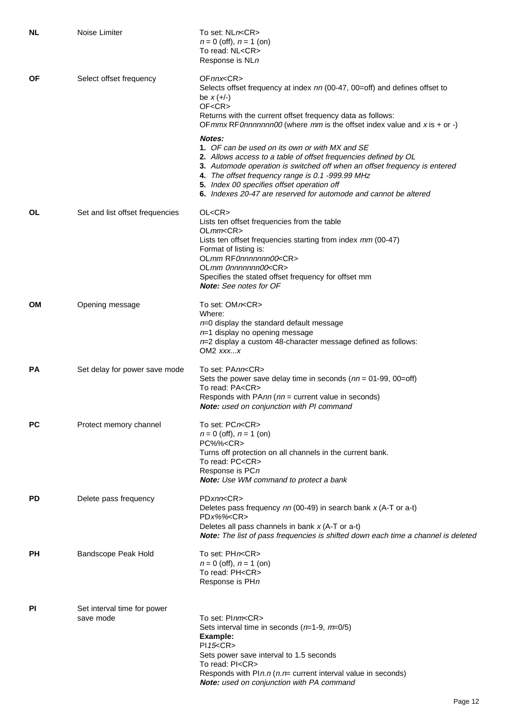| NL | Noise Limiter                            | To set: NLn <cr><br/><math>n = 0</math> (off), <math>n = 1</math> (on)<br/>To read: NL<cr><br/>Response is NLn</cr></cr>                                                                                                                                                                                                                                                                                                                                                                                                                                                                                                                                                                                  |
|----|------------------------------------------|-----------------------------------------------------------------------------------------------------------------------------------------------------------------------------------------------------------------------------------------------------------------------------------------------------------------------------------------------------------------------------------------------------------------------------------------------------------------------------------------------------------------------------------------------------------------------------------------------------------------------------------------------------------------------------------------------------------|
| ΟF | Select offset frequency                  | OFnnx <cr><br/>Selects offset frequency at index nn (00-47, 00=off) and defines offset to<br/>be <math>x (+/-)</math><br/>OF<cr><br/>Returns with the current offset frequency data as follows:<br/>OF <math>mmx</math> RF0nnnnnnn00 (where <math>mm</math> is the offset index value and x is + or -)<br/>Notes:<br/>1. OF can be used on its own or with MX and SE<br/>2. Allows access to a table of offset frequencies defined by OL<br/>3. Automode operation is switched off when an offset frequency is entered<br/>4. The offset frequency range is 0.1 -999.99 MHz<br/>5. Index 00 specifies offset operation off<br/>6. Indexes 20-47 are reserved for automode and cannot be altered</cr></cr> |
| 0L | Set and list offset frequencies          | OL < CR<br>Lists ten offset frequencies from the table<br>OLmm < CR<br>Lists ten offset frequencies starting from index mm (00-47)<br>Format of listing is:<br>OLmm RF0nnnnnnn00 <cr><br/>OLmm 0nnnnnnn00<cr><br/>Specifies the stated offset frequency for offset mm<br/><b>Note:</b> See notes for OF</cr></cr>                                                                                                                                                                                                                                                                                                                                                                                         |
| OМ | Opening message                          | To set: OMn <cr><br/>Where:<br/><math>n=0</math> display the standard default message<br/><math>n=1</math> display no opening message<br/><math>n=2</math> display a custom 48-character message defined as follows:<br/>OM2 <math>xxxx</math></cr>                                                                                                                                                                                                                                                                                                                                                                                                                                                       |
| РA | Set delay for power save mode            | To set: PAnn <cr><br/>Sets the power save delay time in seconds (<math>nn = 01-99</math>, 00=off)<br/>To read: PA<cr><br/>Responds with PAnn (nn = current value in seconds)<br/>Note: used on conjunction with PI command</cr></cr>                                                                                                                                                                                                                                                                                                                                                                                                                                                                      |
| РC | Protect memory channel                   | To set: PCn <cr><br/><math>n = 0</math> (off), <math>n = 1</math> (on)<br/>PC%%<cr><br/>Turns off protection on all channels in the current bank.<br/>To read: PC<cr><br/>Response is PCn<br/>Note: Use WM command to protect a bank</cr></cr></cr>                                                                                                                                                                                                                                                                                                                                                                                                                                                       |
| PD | Delete pass frequency                    | PDxnn < CR<br>Deletes pass frequency $nn$ (00-49) in search bank $x$ (A-T or a-t)<br>$PDx\%$ % <cr><br/>Deletes all pass channels in bank <math>x</math> (A-T or a-t)<br/>Note: The list of pass frequencies is shifted down each time a channel is deleted</cr>                                                                                                                                                                                                                                                                                                                                                                                                                                          |
| PН | Bandscope Peak Hold                      | To set: PHn <cr><br/><math>n = 0</math> (off), <math>n = 1</math> (on)<br/>To read: PH<cr><br/>Response is PHn</cr></cr>                                                                                                                                                                                                                                                                                                                                                                                                                                                                                                                                                                                  |
| PI | Set interval time for power<br>save mode | To set: Plnm <cr><br/>Sets interval time in seconds <math>(n=1-9, m=0/5)</math><br/>Example:<br/>PI15 &lt; CR<br/>Sets power save interval to 1.5 seconds<br/>To read: PI<cr><br/>Responds with PIn.n (<math>n.n</math> = current interval value in seconds)<br/>Note: used on conjunction with PA command</cr></cr>                                                                                                                                                                                                                                                                                                                                                                                      |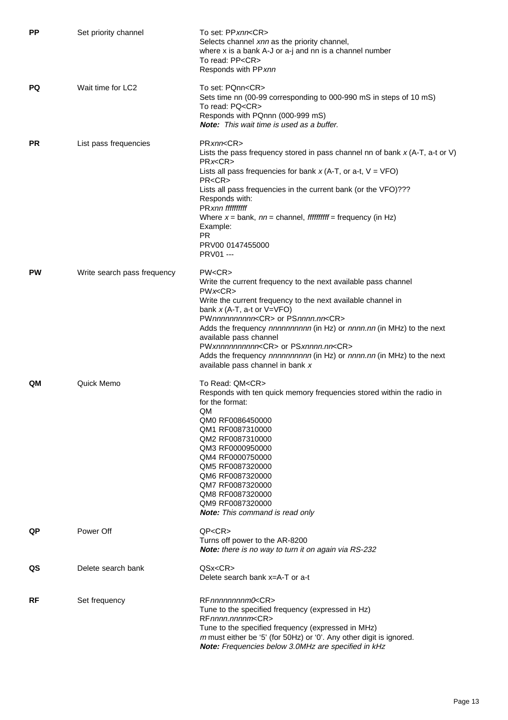| <b>PP</b> | Set priority channel        | To set: PPxnn <cr><br/>Selects channel xnn as the priority channel,<br/>where x is a bank A-J or a-j and nn is a channel number<br/>To read: PP<cr><br/>Responds with PPxnn</cr></cr>                                                                                                                                                                                                                                                                                                                                           |
|-----------|-----------------------------|---------------------------------------------------------------------------------------------------------------------------------------------------------------------------------------------------------------------------------------------------------------------------------------------------------------------------------------------------------------------------------------------------------------------------------------------------------------------------------------------------------------------------------|
| PQ        | Wait time for LC2           | To set: PQnn <cr><br/>Sets time nn (00-99 corresponding to 000-990 mS in steps of 10 mS)<br/>To read: PQ<cr><br/>Responds with PQnnn (000-999 mS)<br/><b>Note:</b> This wait time is used as a buffer.</cr></cr>                                                                                                                                                                                                                                                                                                                |
| <b>PR</b> | List pass frequencies       | PRxnn <cr><br/>Lists the pass frequency stored in pass channel nn of bank <math>x</math> (A-T, a-t or V)<br/>PRx &lt; CR<br/>Lists all pass frequencies for bank <math>x</math> (A-T, or a-t, <math>V = VFO</math>)<br/>PR &lt; CR<br/>Lists all pass frequencies in the current bank (or the VFO)???<br/>Responds with:<br/><b>PRxnn</b> ffffffffff<br/>Where <math>x =</math> bank, <math>nn =</math> channel, <i>fffffffff</i> = frequency (in Hz)<br/>Example:<br/><b>PR</b><br/>PRV00 0147455000<br/><b>PRV01 ---</b></cr> |
| PW        | Write search pass frequency | PW < CR<br>Write the current frequency to the next available pass channel<br>PWx < CR<br>Write the current frequency to the next available channel in<br>bank $x$ (A-T, a-t or V=VFO)<br>PWnnnnnnnnncCR> or PSnnnn.nn <cr><br/>Adds the frequency nnnnnnnnnn (in Hz) or nnnn.nn (in MHz) to the next<br/>available pass channel<br/>PWxnnnnnnnnnn<cr> or PSxnnnn.nn<cr><br/>Adds the frequency nnnnnnnnnn (in Hz) or nnnn.nn (in MHz) to the next<br/>available pass channel in bank x</cr></cr></cr>                           |
| QM        | Quick Memo                  | To Read: QM <cr><br/>Responds with ten quick memory frequencies stored within the radio in<br/>for the format:<br/>QM<br/>QM0 RF0086450000<br/>QM1 RF0087310000<br/>QM2 RF0087310000<br/>QM3 RF0000950000<br/>QM4 RF0000750000<br/>QM5 RF0087320000<br/>QM6 RF0087320000<br/>QM7 RF0087320000<br/>QM8 RF0087320000<br/>QM9 RF0087320000<br/><b>Note:</b> This command is read only</cr>                                                                                                                                         |
| QP        | Power Off                   | QP < CR<br>Turns off power to the AR-8200<br>Note: there is no way to turn it on again via RS-232                                                                                                                                                                                                                                                                                                                                                                                                                               |
| QS        | Delete search bank          | QSx < CR<br>Delete search bank x=A-T or a-t                                                                                                                                                                                                                                                                                                                                                                                                                                                                                     |
| RF        | Set frequency               | RFnnnnnnnm0 <cr><br/>Tune to the specified frequency (expressed in Hz)<br/>RFnnnn.nnnnm<cr><br/>Tune to the specified frequency (expressed in MHz)<br/>m must either be '5' (for 50Hz) or '0'. Any other digit is ignored.<br/>Note: Frequencies below 3.0MHz are specified in kHz</cr></cr>                                                                                                                                                                                                                                    |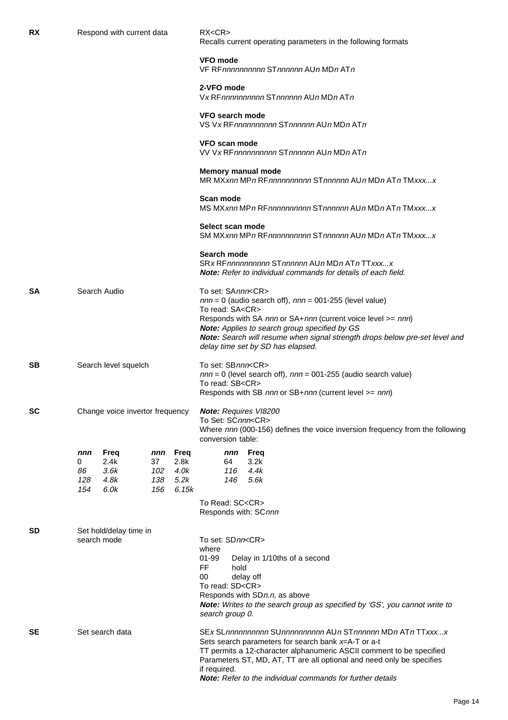| RX        |                                 | Respond with current data            |                                |                                       | RX < CR<br>Recalls current operating parameters in the following formats                                        |                                                                                                                                                                                                                                                                                                                                           |  |  |  |
|-----------|---------------------------------|--------------------------------------|--------------------------------|---------------------------------------|-----------------------------------------------------------------------------------------------------------------|-------------------------------------------------------------------------------------------------------------------------------------------------------------------------------------------------------------------------------------------------------------------------------------------------------------------------------------------|--|--|--|
|           |                                 |                                      |                                |                                       | VFO mode<br>VF RFnnnnnnnnnn STnnnnnn AUn MDn ATn                                                                |                                                                                                                                                                                                                                                                                                                                           |  |  |  |
|           |                                 |                                      |                                |                                       | 2-VFO mode                                                                                                      | Vx RFnnnnnnnnnn STnnnnnn AUn MDn ATn                                                                                                                                                                                                                                                                                                      |  |  |  |
|           |                                 |                                      |                                |                                       | VFO search mode                                                                                                 | VS Vx RFnnnnnnnnnn STnnnnnn AUn MDn ATn                                                                                                                                                                                                                                                                                                   |  |  |  |
|           |                                 |                                      |                                |                                       | VFO scan mode                                                                                                   | VV Vx RFnnnnnnnnnn STnnnnnn AUn MDn ATn                                                                                                                                                                                                                                                                                                   |  |  |  |
|           |                                 |                                      |                                |                                       | Memory manual mode                                                                                              | MR MXxnn MPn RFnnnnnnnnnn STnnnnnn AUn MDn ATn TMxxxx                                                                                                                                                                                                                                                                                     |  |  |  |
|           |                                 |                                      |                                |                                       | Scan mode                                                                                                       | MS MXxnn MPn RFnnnnnnnnnn STnnnnnn AUn MDn ATn TMxxxx                                                                                                                                                                                                                                                                                     |  |  |  |
|           |                                 |                                      |                                |                                       | Select scan mode                                                                                                | SM MXxnn MPn RFnnnnnnnnnn STnnnnnn AUn MDn ATn TMxxxx                                                                                                                                                                                                                                                                                     |  |  |  |
|           |                                 |                                      |                                |                                       | Search mode                                                                                                     | SRx RFnnnnnnnnnn STnnnnnn AUn MDn ATn TTxxxx<br><b>Note:</b> Refer to individual commands for details of each field.                                                                                                                                                                                                                      |  |  |  |
| SA        | Search Audio                    |                                      |                                |                                       | To set: SAnnn <cr><br/>To read: SA<cr></cr></cr>                                                                | $nnn = 0$ (audio search off), $nnn = 001-255$ (level value)<br>Responds with SA nnn or SA+nnn (current voice level >= nnn)<br>Note: Applies to search group specified by GS<br>Note: Search will resume when signal strength drops below pre-set level and<br>delay time set by SD has elapsed.                                           |  |  |  |
| SB.       | Search level squelch            |                                      |                                |                                       | To set: SBnnn <cr><br/>To read: SB<cr></cr></cr>                                                                | $nnn = 0$ (level search off), $nnn = 001-255$ (audio search value)<br>Responds with SB nnn or SB+nnn (current level >= nnn)                                                                                                                                                                                                               |  |  |  |
| <b>SC</b> | Change voice invertor frequency |                                      |                                |                                       | Note: Requires VI8200<br>To Set: SCnnn <cr><br/>conversion table:</cr>                                          | Where nnn (000-156) defines the voice inversion frequency from the following                                                                                                                                                                                                                                                              |  |  |  |
|           | nnn<br>0<br>86<br>128<br>154    | Freq<br>2.4k<br>3.6k<br>4.8k<br>6.0k | nnn<br>37<br>102<br>138<br>156 | Freq<br>2.8k<br>4.0k<br>5.2k<br>6.15k | nnn<br>64<br>116<br>146<br>To Read: SC <cr></cr>                                                                | Freq<br>3.2k<br>4.4k<br>5.6k                                                                                                                                                                                                                                                                                                              |  |  |  |
| SD        |                                 | Set hold/delay time in               |                                |                                       | Responds with: SCnnn                                                                                            |                                                                                                                                                                                                                                                                                                                                           |  |  |  |
|           | search mode                     |                                      |                                |                                       | To set: SDnn <cr><br/>where<br/>01-99<br/>FF.<br/>hold<br/>00<br/>To read: SD<cr><br/>search group 0.</cr></cr> | Delay in 1/10ths of a second<br>delay off<br>Responds with SDn.n, as above<br>Note: Writes to the search group as specified by 'GS', you cannot write to                                                                                                                                                                                  |  |  |  |
| SE        | Set search data                 |                                      |                                |                                       | if required.                                                                                                    | SEx SLnnnnnnnnnn SUnnnnnnnnnn AUn STnnnnnn MDn ATn TTxxxx<br>Sets search parameters for search bank $x=$ A-T or a-t<br>TT permits a 12-character alphanumeric ASCII comment to be specified<br>Parameters ST, MD, AT, TT are all optional and need only be specifies<br><b>Note:</b> Refer to the individual commands for further details |  |  |  |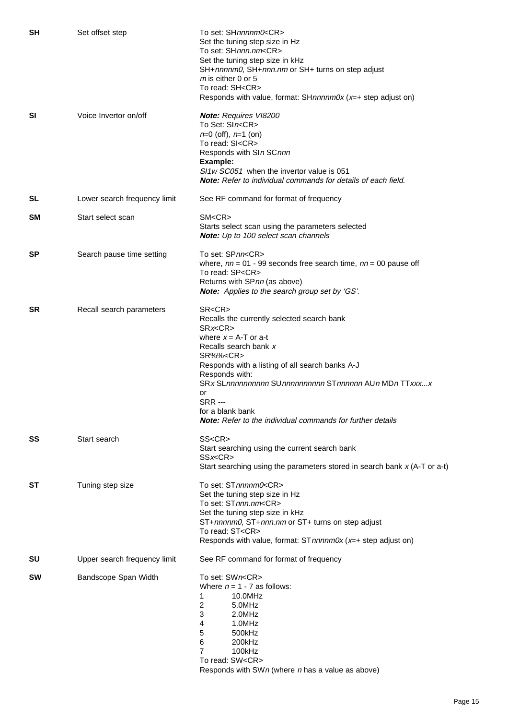| SH  | Set offset step              | To set: SHnnnnm0 <cr><br/>Set the tuning step size in Hz<br/>To set: SHnnn.nm<cr><br/>Set the tuning step size in kHz<br/>SH+nnnnm0, SH+nnn.nm or SH+ turns on step adjust<br/><math>m</math> is either 0 or 5<br/>To read: SH<cr><br/>Responds with value, format: SHnnnnm0x (x=+ step adjust on)</cr></cr></cr>                                                                                                      |
|-----|------------------------------|------------------------------------------------------------------------------------------------------------------------------------------------------------------------------------------------------------------------------------------------------------------------------------------------------------------------------------------------------------------------------------------------------------------------|
| SI  | Voice Invertor on/off        | Note: Requires VI8200<br>To Set: SIn <cr><br/><math>n=0</math> (off), <math>n=1</math> (on)<br/>To read: SI<cr><br/>Responds with SIn SCnnn<br/>Example:<br/>SI1w SC051 when the invertor value is 051<br/><b>Note:</b> Refer to individual commands for details of each field.</cr></cr>                                                                                                                              |
| SL  | Lower search frequency limit | See RF command for format of frequency                                                                                                                                                                                                                                                                                                                                                                                 |
| SM  | Start select scan            | SM < CR<br>Starts select scan using the parameters selected<br>Note: Up to 100 select scan channels                                                                                                                                                                                                                                                                                                                    |
| SP  | Search pause time setting    | To set: SPnn <cr><br/>where, <math>nn = 01 - 99</math> seconds free search time, <math>nn = 00</math> pause off<br/>To read: SP<cr><br/>Returns with SPnn (as above)<br/>Note: Applies to the search group set by 'GS'.</cr></cr>                                                                                                                                                                                      |
| SR. | Recall search parameters     | SR <cr><br/>Recalls the currently selected search bank<br/>SRx &lt; CR<br/>where <math>x = A - T</math> or a-t<br/>Recalls search bank x<br/>SR%%<cr><br/>Responds with a listing of all search banks A-J<br/>Responds with:<br/>SRx SLnnnnnnnnnn SUnnnnnnnnnnn STnnnnnn AUn MDn TTxxxx<br/>or<br/><b>SRR</b> ---<br/>for a blank bank<br/><b>Note:</b> Refer to the individual commands for further details</cr></cr> |
| SS  | Start search                 | SS <cr><br/>Start searching using the current search bank<br/>SSx<cr><br/>Start searching using the parameters stored in search bank <math>x</math> (A-T or a-t)</cr></cr>                                                                                                                                                                                                                                             |
| SТ  | Tuning step size             | To set: STnnnnm0 <cr><br/>Set the tuning step size in Hz<br/>To set: STnnn.nm<cr><br/>Set the tuning step size in kHz<br/>ST+nnnnm0, ST+nnn.nm or ST+ turns on step adjust<br/>To read: ST<cr><br/>Responds with value, format: ST nnnnm0x (x=+ step adjust on)</cr></cr></cr>                                                                                                                                         |
| SU  | Upper search frequency limit | See RF command for format of frequency                                                                                                                                                                                                                                                                                                                                                                                 |
| SW  | Bandscope Span Width         | To set: SWn <cr><br/>Where <math>n = 1 - 7</math> as follows:<br/>10.0MHz<br/>1<br/>2<br/>5.0MHz<br/>3<br/>2.0MHz<br/>1.0MHz<br/>4<br/>500kHz<br/>5<br/>6<br/>200kHz<br/>7<br/>100kHz<br/>To read: SW<cr><br/>Responds with SWn (where <math>n</math> has a value as above)</cr></cr>                                                                                                                                  |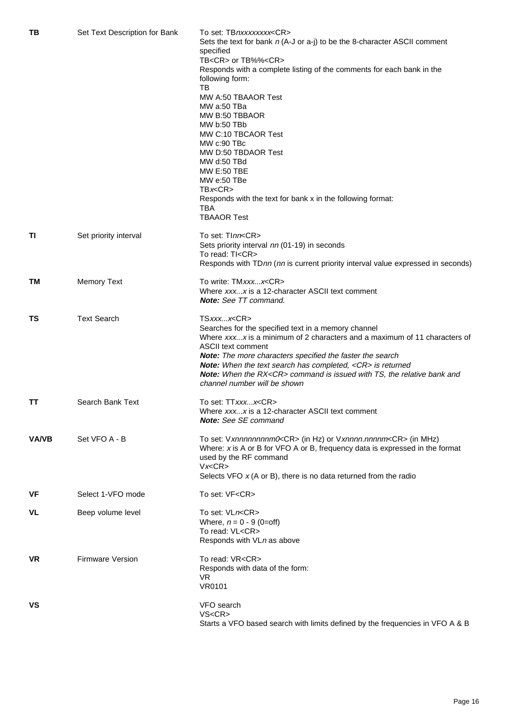| TВ           | Set Text Description for Bank | To set: TBnxxxxxxxx <cr><br/>Sets the text for bank <math>n</math> (A-J or a-j) to be the 8-character ASCII comment<br/>specified<br/>TB<cr> or TB%%<cr></cr></cr></cr> |
|--------------|-------------------------------|-------------------------------------------------------------------------------------------------------------------------------------------------------------------------|
|              |                               | Responds with a complete listing of the comments for each bank in the<br>following form:<br>TB                                                                          |
|              |                               | MW A:50 TBAAOR Test                                                                                                                                                     |
|              |                               | MW a:50 TBa                                                                                                                                                             |
|              |                               | MW B:50 TBBAOR                                                                                                                                                          |
|              |                               | MW b:50 TBb                                                                                                                                                             |
|              |                               | MW C:10 TBCAOR Test                                                                                                                                                     |
|              |                               | MW c:90 TBc                                                                                                                                                             |
|              |                               | MW D:50 TBDAOR Test                                                                                                                                                     |
|              |                               | MW d:50 TBd                                                                                                                                                             |
|              |                               | <b>MW E:50 TBE</b>                                                                                                                                                      |
|              |                               | MW e:50 TBe<br>T Bx < CR                                                                                                                                                |
|              |                               |                                                                                                                                                                         |
|              |                               | Responds with the text for bank x in the following format:<br>TBA<br><b>TBAAOR Test</b>                                                                                 |
|              |                               |                                                                                                                                                                         |
| ΤI           | Set priority interval         | To set: TInn <cr></cr>                                                                                                                                                  |
|              |                               | Sets priority interval nn (01-19) in seconds                                                                                                                            |
|              |                               | To read: TI <cr></cr>                                                                                                                                                   |
|              |                               | Responds with TDnn (nn is current priority interval value expressed in seconds)                                                                                         |
| TM.          | <b>Memory Text</b>            | To write: TMxxxx <cr></cr>                                                                                                                                              |
|              |                               | Where xxxx is a 12-character ASCII text comment<br><b>Note:</b> See TT command.                                                                                         |
| ΤS           | <b>Text Search</b>            | TSxxxx <cr></cr>                                                                                                                                                        |
|              |                               | Searches for the specified text in a memory channel                                                                                                                     |
|              |                               | Where xxxx is a minimum of 2 characters and a maximum of 11 characters of                                                                                               |
|              |                               | <b>ASCII text comment</b>                                                                                                                                               |
|              |                               | Note: The more characters specified the faster the search<br>Note: When the text search has completed, <cr> is returned</cr>                                            |
|              |                               | Note: When the RX <cr> command is issued with TS, the relative bank and</cr>                                                                                            |
|              |                               | channel number will be shown                                                                                                                                            |
| TΤ           | Search Bank Text              | To set: TTxxxx <cr></cr>                                                                                                                                                |
|              |                               | Where xxxx is a 12-character ASCII text comment                                                                                                                         |
|              |                               | <b>Note:</b> See SE command                                                                                                                                             |
| <b>VA/VB</b> | Set VFO A - B                 | To set: Vxnnnnnnnnm0 <cr> (in Hz) or Vxnnnn.nnnnm<cr> (in MHz)</cr></cr>                                                                                                |
|              |                               | Where: $x$ is A or B for VFO A or B, frequency data is expressed in the format                                                                                          |
|              |                               | used by the RF command                                                                                                                                                  |
|              |                               | Vx < CR                                                                                                                                                                 |
|              |                               | Selects VFO $x$ (A or B), there is no data returned from the radio                                                                                                      |
| VF           | Select 1-VFO mode             | To set: VF <cr></cr>                                                                                                                                                    |
| VL           | Beep volume level             | To set: VLn <cr></cr>                                                                                                                                                   |
|              |                               | Where, $n = 0 - 9$ (0=off)                                                                                                                                              |
|              |                               | To read: VL <cr><br/>Responds with VLn as above</cr>                                                                                                                    |
| VR.          | <b>Firmware Version</b>       | To read: VR <cr></cr>                                                                                                                                                   |
|              |                               | Responds with data of the form:                                                                                                                                         |
|              |                               | VR.                                                                                                                                                                     |
|              |                               | <b>VR0101</b>                                                                                                                                                           |
| VS           |                               | VFO search                                                                                                                                                              |
|              |                               | VS < CR                                                                                                                                                                 |
|              |                               | Starts a VFO based search with limits defined by the frequencies in VFO A & B                                                                                           |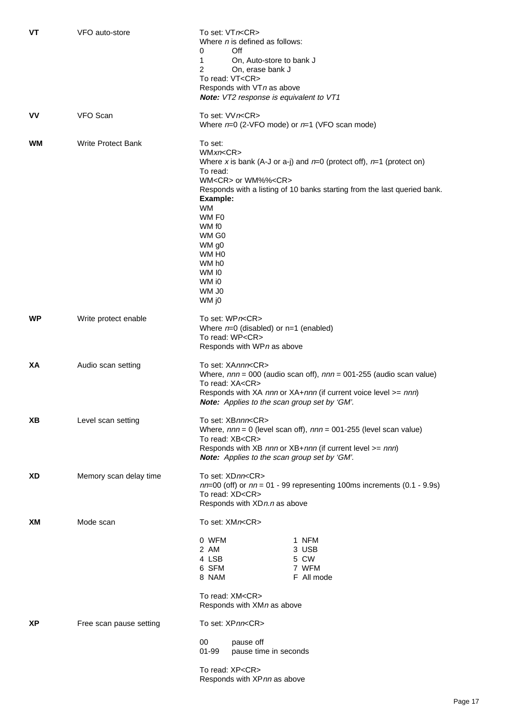| <b>VT</b> | VFO auto-store            | To set: VTn <cr><br/>Where <i>n</i> is defined as follows:<br/>Off<br/>0<br/>1<br/>On, Auto-store to bank J<br/>2<br/>On, erase bank J</cr>                                                                                                                                                                                                                |
|-----------|---------------------------|------------------------------------------------------------------------------------------------------------------------------------------------------------------------------------------------------------------------------------------------------------------------------------------------------------------------------------------------------------|
|           |                           | To read: VT <cr></cr>                                                                                                                                                                                                                                                                                                                                      |
|           |                           | Responds with VTn as above                                                                                                                                                                                                                                                                                                                                 |
|           |                           | Note: VT2 response is equivalent to VT1                                                                                                                                                                                                                                                                                                                    |
| ۷V        | VFO Scan                  | To set: VVn <cr><br/>Where <math>n=0</math> (2-VFO mode) or <math>n=1</math> (VFO scan mode)</cr>                                                                                                                                                                                                                                                          |
| WМ        | <b>Write Protect Bank</b> | To set:<br>WMxn < CR<br>Where x is bank (A-J or a-j) and $n=0$ (protect off), $n=1$ (protect on)<br>To read:<br>WM <cr> or WM%%<cr><br/>Responds with a listing of 10 banks starting from the last queried bank.<br/>Example:<br/><b>WM</b><br/>WM F0<br/>WM f0<br/>WM G0<br/>WM g0<br/>WM H<sub>0</sub><br/>WM h0<br/>WM IO<br/>WM i0<br/>WM J0</cr></cr> |
|           |                           | WM j0                                                                                                                                                                                                                                                                                                                                                      |
| WP        | Write protect enable      | To set: WPn <cr><br/>Where <math>n=0</math> (disabled) or <math>n=1</math> (enabled)<br/>To read: WP<cr><br/>Responds with WPn as above</cr></cr>                                                                                                                                                                                                          |
| XА        | Audio scan setting        | To set: XAnnn <cr><br/>Where, <math>nnn = 000</math> (audio scan off), <math>nnn = 001-255</math> (audio scan value)<br/>To read: XA<cr><br/>Responds with XA nnn or XA+nnn (if current voice level &gt;= nnn)<br/>Note: Applies to the scan group set by 'GM'.</cr></cr>                                                                                  |
| ΧB        | Level scan setting        | To set: XBnnn <cr><br/>Where, <math>nnn = 0</math> (level scan off), <math>nnn = 001-255</math> (level scan value)<br/>To read: XB<cr><br/>Responds with XB nnn or XB+nnn (if current level &gt;= nnn)<br/>Note: Applies to the scan group set by 'GM'.</cr></cr>                                                                                          |
| XD        | Memory scan delay time    | To set: XDnn <cr><br/><math>nn=00</math> (off) or <math>nn = 01 - 99</math> representing 100ms increments (0.1 - 9.9s)<br/>To read: XD<cr><br/>Responds with XDn.n as above</cr></cr>                                                                                                                                                                      |
| XМ        | Mode scan                 | To set: XMn <cr></cr>                                                                                                                                                                                                                                                                                                                                      |
|           |                           | 0 WFM<br>1 NFM<br>2 AM<br>3 USB<br>4 LSB<br>5 CW<br>6 SFM<br>7 WFM<br>F All mode<br>8 NAM                                                                                                                                                                                                                                                                  |
|           |                           | To read: XM <cr><br/>Responds with XMn as above</cr>                                                                                                                                                                                                                                                                                                       |
|           |                           |                                                                                                                                                                                                                                                                                                                                                            |
| ΧP        | Free scan pause setting   | To set: XPnn <cr></cr>                                                                                                                                                                                                                                                                                                                                     |
|           |                           | 00<br>pause off<br>$01 - 99$<br>pause time in seconds                                                                                                                                                                                                                                                                                                      |
|           |                           | To read: XP <cr><br/>Responds with XPnn as above</cr>                                                                                                                                                                                                                                                                                                      |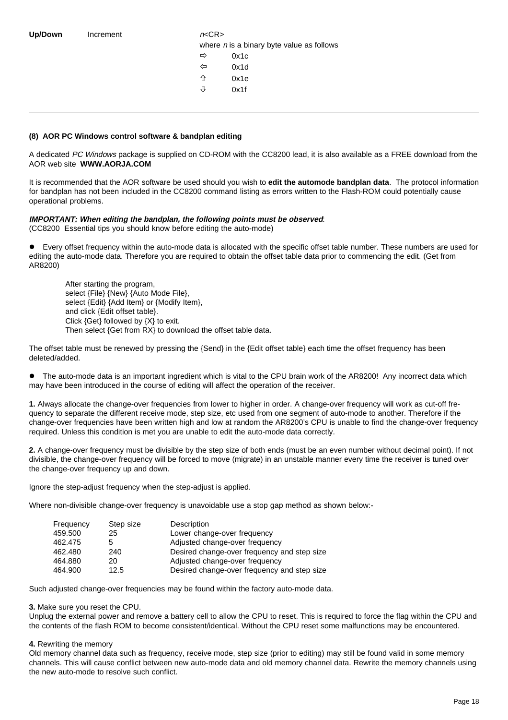| Increment |
|-----------|
|           |

 $n<$ CR $>$ where  $n$  is a binary byte value as follows  $\Rightarrow$  0x1c

- $\Leftrightarrow$  0x1d
- ñ 0x1e
- $\sqrt[1]{}$  0x1f

#### **(8) AOR PC Windows control software & bandplan editing**

A dedicated PC Windows package is supplied on CD-ROM with the CC8200 lead, it is also available as a FREE download from the AOR web site **WWW.AORJA.COM**

It is recommended that the AOR software be used should you wish to **edit the automode bandplan data**. The protocol information for bandplan has not been included in the CC8200 command listing as errors written to the Flash-ROM could potentially cause operational problems.

### **IMPORTANT: When editing the bandplan, the following points must be observed**:

(CC8200 Essential tips you should know before editing the auto-mode)

l Every offset frequency within the auto-mode data is allocated with the specific offset table number. These numbers are used for editing the auto-mode data. Therefore you are required to obtain the offset table data prior to commencing the edit. (Get from AR8200)

After starting the program, select {File} {New} {Auto Mode File}, select {Edit} {Add Item} or {Modify Item}, and click {Edit offset table}. Click {Get} followed by {X} to exit. Then select {Get from RX} to download the offset table data.

The offset table must be renewed by pressing the {Send} in the {Edit offset table} each time the offset frequency has been deleted/added.

The auto-mode data is an important ingredient which is vital to the CPU brain work of the AR8200! Any incorrect data which may have been introduced in the course of editing will affect the operation of the receiver.

**1.** Always allocate the change-over frequencies from lower to higher in order. A change-over frequency will work as cut-off frequency to separate the different receive mode, step size, etc used from one segment of auto-mode to another. Therefore if the change-over frequencies have been written high and low at random the AR8200's CPU is unable to find the change-over frequency required. Unless this condition is met you are unable to edit the auto-mode data correctly.

**2.** A change-over frequency must be divisible by the step size of both ends (must be an even number without decimal point). If not divisible, the change-over frequency will be forced to move (migrate) in an unstable manner every time the receiver is tuned over the change-over frequency up and down.

Ignore the step-adjust frequency when the step-adjust is applied.

Where non-divisible change-over frequency is unavoidable use a stop gap method as shown below:-

| Frequency | Step size | Description                                 |
|-----------|-----------|---------------------------------------------|
| 459.500   | 25        | Lower change-over frequency                 |
| 462.475   | 5         | Adjusted change-over frequency              |
| 462.480   | 240       | Desired change-over frequency and step size |
| 464.880   | 20        | Adjusted change-over frequency              |
| 464.900   | 12.5      | Desired change-over frequency and step size |

Such adjusted change-over frequencies may be found within the factory auto-mode data.

#### **3.** Make sure you reset the CPU.

Unplug the external power and remove a battery cell to allow the CPU to reset. This is required to force the flag within the CPU and the contents of the flash ROM to become consistent/identical. Without the CPU reset some malfunctions may be encountered.

#### **4.** Rewriting the memory

Old memory channel data such as frequency, receive mode, step size (prior to editing) may still be found valid in some memory channels. This will cause conflict between new auto-mode data and old memory channel data. Rewrite the memory channels using the new auto-mode to resolve such conflict.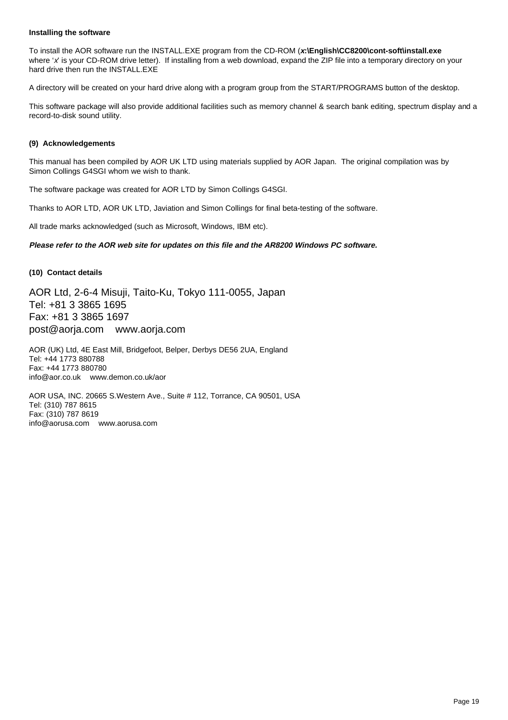#### **Installing the software**

To install the AOR software run the INSTALL.EXE program from the CD-ROM (**x:\English\CC8200\cont-soft\install.exe** where 'x' is your CD-ROM drive letter). If installing from a web download, expand the ZIP file into a temporary directory on your hard drive then run the INSTALL.EXE

A directory will be created on your hard drive along with a program group from the START/PROGRAMS button of the desktop.

This software package will also provide additional facilities such as memory channel & search bank editing, spectrum display and a record-to-disk sound utility.

#### **(9) Acknowledgements**

This manual has been compiled by AOR UK LTD using materials supplied by AOR Japan. The original compilation was by Simon Collings G4SGI whom we wish to thank.

The software package was created for AOR LTD by Simon Collings G4SGI.

Thanks to AOR LTD, AOR UK LTD, Javiation and Simon Collings for final beta-testing of the software.

All trade marks acknowledged (such as Microsoft, Windows, IBM etc).

#### **Please refer to the AOR web site for updates on this file and the AR8200 Windows PC software.**

#### **(10) Contact details**

AOR Ltd, 2-6-4 Misuji, Taito-Ku, Tokyo 111-0055, Japan Tel: +81 3 3865 1695 Fax: +81 3 3865 1697 post@aorja.com www.aorja.com

AOR (UK) Ltd, 4E East Mill, Bridgefoot, Belper, Derbys DE56 2UA, England Tel: +44 1773 880788 Fax: +44 1773 880780 info@aor.co.uk www.demon.co.uk/aor

AOR USA, INC. 20665 S.Western Ave., Suite # 112, Torrance, CA 90501, USA Tel: (310) 787 8615 Fax: (310) 787 8619 info@aorusa.com www.aorusa.com